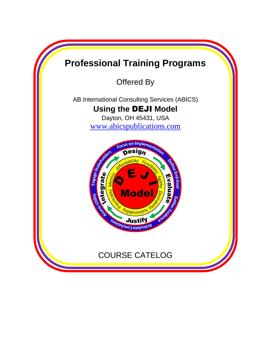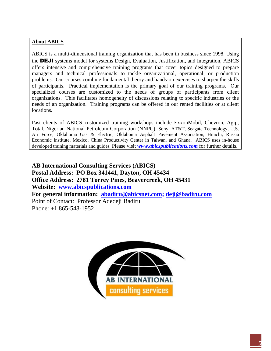#### **About ABICS**

ABICS is a multi-dimensional training organization that has been in business since 1998. Using the DEJI systems model for systems Design, Evaluation, Justification, and Integration, ABICS offers intensive and comprehensive training programs that cover topics designed to prepare managers and technical professionals to tackle organizational, operational, or production problems. Our courses combine fundamental theory and hands-on exercises to sharpen the skills of participants. Practical implementation is the primary goal of our training programs. Our specialized courses are customized to the needs of groups of participants from client organizations. This facilitates homogeneity of discussions relating to specific industries or the needs of an organization. Training programs can be offered in our rented facilities or at client locations.

Past clients of ABICS customized training workshops include ExxonMobil, Chevron, Agip, Total, Nigerian National Petroleum Corporation (NNPC), Sony, AT&T, Seagate Technology, U.S. Air Force, Oklahoma Gas & Electric, Oklahoma Asphalt Pavement Association, Hitachi, Russia Economic Institute, Mexico, China Productivity Center in Taiwan, and Ghana. ABICS uses in-house developed training materials and guides. Please visit *www.abicspublications.com* for further details.

**AB International Consulting Services (ABICS) Postal Address: PO Box 341441, Dayton, OH 45434 Office Address: 2781 Torrey Pines, Beavercreek, OH 45431 Website: [www.abicspublications.com](http://www.abicspublications.com/) For general information: [abadiru@abicsnet.com;](mailto:abadiru@abicsnet.com) [deji@badiru.com](mailto:deji@badiru.com)** Point of Contact: Professor Adedeji Badiru Phone: +1 865-548-1952

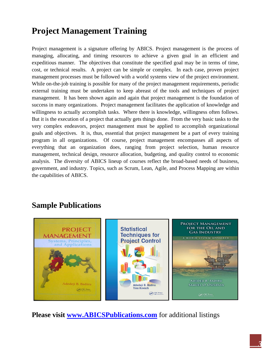# **Project Management Training**

Project management is a signature offering by ABICS. Project management is the process of managing, allocating, and timing resources to achieve a given goal in an efficient and expeditious manner. The objectives that constitute the specified goal may be in terms of time, cost, or technical results. A project can be simple or complex. In each case, proven project management processes must be followed with a world systems view of the project environment. While on-the-job training is possible for many of the project management requirements, periodic external training must be undertaken to keep abreast of the tools and techniques of project management. It has been shown again and again that project management is the foundation of success in many organizations. Project management facilitates the application of knowledge and willingness to actually accomplish tasks. Where there is knowledge, willingness often follows. But it is the execution of a project that actually gets things done. From the very basic tasks to the very complex endeavors, project management must be applied to accomplish organizational goals and objectives. It is, thus, essential that project management be a part of every training program in all organizations. Of course, project management encompasses all aspects of everything that an organization does, ranging from project selection, human resource management, technical design, resource allocation, budgeting, and quality control to economic analysis. The diversity of ABICS lineup of courses reflect the broad-based needs of business, government, and industry. Topics, such as Scrum, Lean, Agile, and Process Mapping are within the capabilities of ABICS.

### **Sample Publications**



### **Please visit [www.ABICSPublications.com](http://www.abicspublications.com/)** for additional listings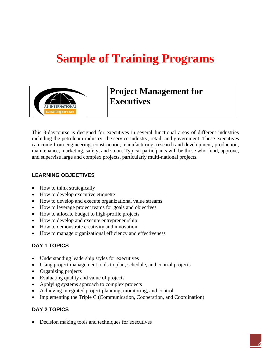# **Sample of Training Programs**



## **Project Management for Executives**

This 3-daycourse is designed for executives in several functional areas of different industries including the petroleum industry, the service industry, retail, and government. These executives can come from engineering, construction, manufacturing, research and development, production, maintenance, marketing, safety, and so on. Typical participants will be those who fund, approve, and supervise large and complex projects, particularly multi-national projects.

#### **LEARNING OBJECTIVES**

- How to think strategically
- How to develop executive etiquette
- How to develop and execute organizational value streams
- How to leverage project teams for goals and objectives
- How to allocate budget to high-profile projects
- How to develop and execute entrepreneurship
- How to demonstrate creativity and innovation
- How to manage organizational efficiency and effectiveness

#### **DAY 1 TOPICS**

- Understanding leadership styles for executives
- Using project management tools to plan, schedule, and control projects
- Organizing projects
- Evaluating quality and value of projects
- Applying systems approach to complex projects
- Achieving integrated project planning, monitoring, and control
- Implementing the Triple C (Communication, Cooperation, and Coordination)

#### **DAY 2 TOPICS**

• Decision making tools and techniques for executives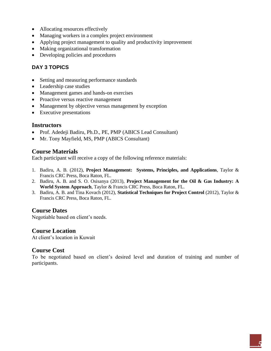- Allocating resources effectively
- Managing workers in a complex project environment
- Applying project management to quality and productivity improvement
- Making organizational transformation
- Developing policies and procedures

#### **DAY 3 TOPICS**

- Setting and measuring performance standards
- Leadership case studies
- Management games and hands-on exercises
- Proactive versus reactive management
- Management by objective versus management by exception
- Executive presentations

#### **Instructors**

- Prof. Adedeji Badiru, Ph.D., PE, PMP (ABICS Lead Consultant)
- Mr. Tony Mayfield, MS, PMP (ABICS Consultant)

#### **Course Materials**

Each participant will receive a copy of the following reference materials:

- 1. Badiru, A. B. (2012), **Project Management: Systems, Principles, and Applications**, Taylor & Francis CRC Press, Boca Raton, FL.
- 2. Badiru, A. B. and S. O. Osisanya (2013), **Project Management for the Oil & Gas Industry: A World System Approach**, Taylor & Francis CRC Press, Boca Raton, FL.
- 3. Badiru, A. B. and Tina Kovach (2012), **Statistical Techniques for Project Control** (2012), Taylor & Francis CRC Press, Boca Raton, FL.

#### **Course Dates**

Negotiable based on client's needs.

#### **Course Location**

At client's location in Kuwait

#### **Course Cost**

To be negotiated based on client's desired level and duration of training and number of participants.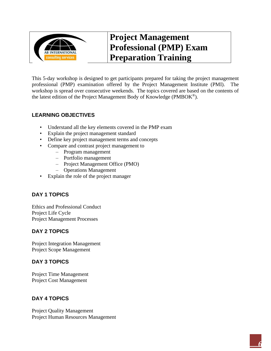

# **Project Management Professional (PMP) Exam Preparation Training**

This 5-day workshop is designed to get participants prepared for taking the project management professional (PMP) examination offered by the Project Management Institute (PMI). The workshop is spread over consecutive weekends. The topics covered are based on the contents of the latest edition of the Project Management Body of Knowledge ( $\text{PMBOK}^{\circledast}$ ).

#### **LEARNING OBJECTIVES**

- Understand all the key elements covered in the PMP exam
- Explain the project management standard
- Define key project management terms and concepts
- Compare and contrast project management to
	- Program management
	- Portfolio management
	- Project Management Office (PMO)
	- Operations Management
- Explain the role of the project manager

#### **DAY 1 TOPICS**

Ethics and Professional Conduct Project Life Cycle Project Management Processes

#### **DAY 2 TOPICS**

Project Integration Management Project Scope Management

#### **DAY 3 TOPICS**

Project Time Management Project Cost Management

#### **DAY 4 TOPICS**

Project Quality Management Project Human Resources Management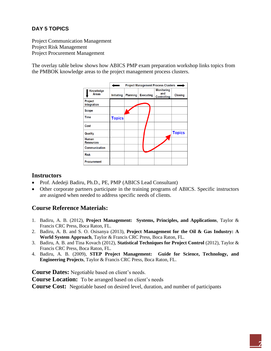#### **DAY 5 TOPICS**

Project Communication Management Project Risk Management Project Procurement Management

The overlay table below shows how ABICS PMP exam preparation workshop links topics from the PMBOK knowledge areas to the project management process clusters.

|                               | <b>Project Management Process Clusters</b> |                 |                  |                                                |               |
|-------------------------------|--------------------------------------------|-----------------|------------------|------------------------------------------------|---------------|
| Knowledge<br><b>Areas</b>     | <b>Initiating</b>                          | <b>Planning</b> | <b>Executing</b> | <b>Monitoring</b><br>and<br><b>Controlling</b> | Closing       |
| Project<br><b>Integration</b> |                                            |                 |                  |                                                |               |
| <b>Scope</b>                  |                                            |                 |                  |                                                |               |
| <b>Time</b>                   | <b>Topics</b>                              |                 |                  |                                                |               |
| Cost                          |                                            |                 |                  |                                                |               |
| Quality                       |                                            |                 |                  |                                                | <b>Topics</b> |
| Human<br><b>Resources</b>     |                                            |                 |                  |                                                |               |
| Communication                 |                                            |                 |                  |                                                |               |
| <b>Risk</b>                   |                                            |                 |                  |                                                |               |
| <b>Procurement</b>            |                                            |                 |                  |                                                |               |

#### **Instructors**

- Prof. Adedeji Badiru, Ph.D., PE, PMP (ABICS Lead Consultant)
- Other corporate partners participate in the training programs of ABICS. Specific instructors are assigned when needed to address specific needs of clients.

#### **Course Reference Materials:**

- 1. Badiru, A. B. (2012), **Project Management: Systems, Principles, and Applications**, Taylor & Francis CRC Press, Boca Raton, FL.
- 2. Badiru, A. B. and S. O. Osisanya (2013), **Project Management for the Oil & Gas Industry: A World System Approach**, Taylor & Francis CRC Press, Boca Raton, FL.
- 3. Badiru, A. B. and Tina Kovach (2012), **Statistical Techniques for Project Control** (2012), Taylor & Francis CRC Press, Boca Raton, FL.
- 4. Badiru, A. B. (2009), **STEP Project Management: Guide for Science, Technology, and Engineering Projects**, Taylor & Francis CRC Press, Boca Raton, FL.

**Course Dates:** Negotiable based on client's needs.

**Course Location:** To be arranged based on client's needs

**Course Cost:** Negotiable based on desired level, duration, and number of participants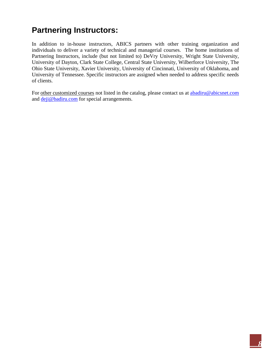# **Partnering Instructors:**

In addition to in-house instructors, ABICS partners with other training organization and individuals to deliver a variety of technical and managerial courses. The home institutions of Partnering Instructors, include (but not limited to) DeVry University, Wright State University, University of Dayton, Clark State College, Central State University, Wilberforce University, The Ohio State University, Xavier University, University of Cincinnati, University of Oklahoma, and University of Tennessee. Specific instructors are assigned when needed to address specific needs of clients.

For other customized courses not listed in the catalog, please contact us at [abadiru@abicsnet.com](mailto:abadiru@abicsnet.com) and [deji@badiru.com](mailto:deji@badiru.com) for special arrangements.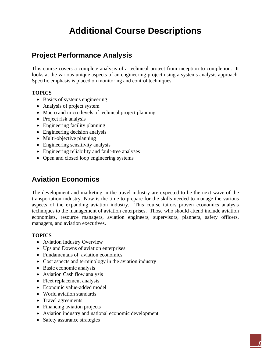# **Additional Course Descriptions**

### **Project Performance Analysis**

This course covers a complete analysis of a technical project from inception to completion. It looks at the various unique aspects of an engineering project using a systems analysis approach. Specific emphasis is placed on monitoring and control techniques.

#### **TOPICS**

- Basics of systems engineering
- Analysis of project system
- Macro and micro levels of technical project planning
- Project risk analysis
- Engineering facility planning
- Engineering decision analysis
- Multi-objective planning
- Engineering sensitivity analysis
- Engineering reliability and fault-tree analyses
- Open and closed loop engineering systems

### **Aviation Economics**

The development and marketing in the travel industry are expected to be the next wave of the transportation industry. Now is the time to prepare for the skills needed to manage the various aspects of the expanding aviation industry. This course tailors proven economics analysis techniques to the management of aviation enterprises. Those who should attend include aviation economists, resource managers, aviation engineers, supervisors, planners, safety officers, managers, and aviation executives.

- Aviation Industry Overview
- Ups and Downs of aviation enterprises
- Fundamentals of aviation economics
- Cost aspects and terminology in the aviation industry
- Basic economic analysis
- Aviation Cash flow analysis
- Fleet replacement analysis
- Economic value-added model
- World aviation standards
- Travel agreements
- Financing aviation projects
- Aviation industry and national economic development
- Safety assurance strategies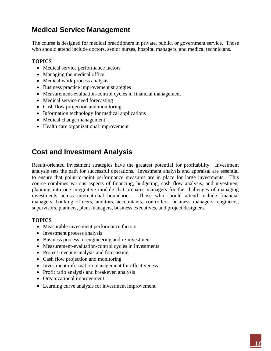### **Medical Service Management**

The course is designed for medical practitioners in private, public, or government service. Those who should attend include doctors, senior nurses, hospital managers, and medical technicians.

#### **TOPICS**

- Medical service performance factors
- Managing the medical office
- Medical work process analysis
- Business practice improvement strategies
- Measurement-evaluation-control cycles in financial management
- Medical service need forecasting
- Cash flow projection and monitoring
- Information technology for medical applications
- Medical change management
- Health care organizational improvement

### **Cost and Investment Analysis**

Result-oriented investment strategies have the greatest potential for profitability. Investment analysis sets the path for successful operations. Investment analysis and appraisal are essential to ensure that point-to-point performance measures are in place for large investments. This course combines various aspects of financing, budgeting, cash flow analysis, and investment planning into one integrative module that prepares managers for the challenges of managing investments across international boundaries. Those who should attend include financial managers, banking officers, auditors, accountants, controllers, business managers, engineers, supervisors, planners, plant managers, business executives, and project designers.

- Measurable investment performance factors
- Investment process analysis
- Business process re-engineering and re-investment
- Measurement-evaluation-control cycles in investments
- Project revenue analysis and forecasting
- Cash flow projection and monitoring
- Investment information management for effectiveness
- Profit ratio analysis and breakeven analysis
- Organizational improvement
- Learning curve analysis for investment improvement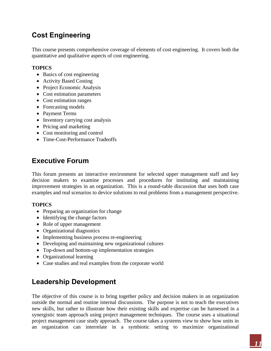### **Cost Engineering**

This course presents comprehensive coverage of elements of cost engineering. It covers both the quantitative and qualitative aspects of cost engineering.

#### **TOPICS**

- Basics of cost engineering
- Activity Based Costing
- Project Economic Analysis
- Cost estimation parameters
- Cost estimation ranges
- Forecasting models
- Payment Terms
- Inventory carrying cost analysis
- Pricing and marketing
- Cost monitoring and control
- Time-Cost-Performance Tradeoffs

### **Executive Forum**

This forum presents an interactive environment for selected upper management staff and key decision makers to examine processes and procedures for instituting and maintaining improvement strategies in an organization. This is a round-table discussion that uses both case examples and real scenarios to device solutions to real problems from a management perspective.

#### **TOPICS**

- Preparing an organization for change
- Identifying the change factors
- Role of upper management
- Organizational diagnostics
- Implementing business process re-engineering
- Developing and maintaining new organizational cultures
- Top-down and bottom-up implementation strategies
- Organizational learning
- Case studies and real examples from the corporate world

### **Leadership Development**

The objective of this course is to bring together policy and decision makers in an organization outside the normal and routine internal discussions. The purpose is not to teach the executives new skills, but rather to illustrate how their existing skills and expertise can be harnessed in a synergistic team approach using project management techniques. The course uses a situational project management case study approach. The course takes a systems view to show how units in an organization can interrelate in a symbiotic setting to maximize organizational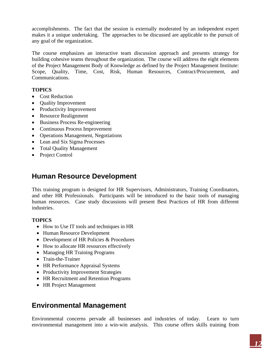accomplishments. The fact that the session is externally moderated by an independent expert makes it a unique undertaking. The approaches to be discussed are applicable to the pursuit of any goal of the organization.

The course emphasizes an interactive team discussion approach and presents strategy for building cohesive teams throughout the organization. The course will address the eight elements of the Project Management Body of Knowledge as defined by the Project Management Institute: Scope, Quality, Time, Cost, Risk, Human Resources, Contract/Procurement, and Communications.

#### **TOPICS**

- Cost Reduction
- Quality Improvement
- Productivity Improvement
- Resource Realignment
- Business Process Re-engineering
- Continuous Process Improvement
- Operations Management, Negotiations
- Lean and Six Sigma Processes
- Total Quality Management
- Project Control

### **Human Resource Development**

This training program is designed for HR Supervisors, Administrators, Training Coordinators, and other HR Professionals. Participants will be introduced to the basic tools of managing human resources. Case study discussions will present Best Practices of HR from different industries.

#### **TOPICS**

- How to Use IT tools and techniques in HR
- Human Resource Development
- Development of HR Policies & Procedures
- How to allocate HR resources effectively
- Managing HR Training Programs
- Train-the-Trainer
- HR Performance Appraisal Systems
- Productivity Improvement Strategies
- HR Recruitment and Retention Programs
- HR Project Management

### **Environmental Management**

Environmental concerns pervade all businesses and industries of today. Learn to turn environmental management into a win-win analysis. This course offers skills training from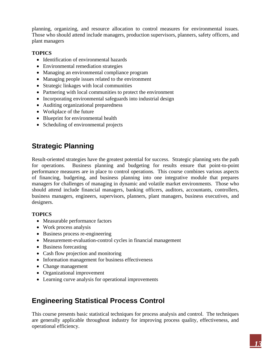planning, organizing, and resource allocation to control measures for environmental issues. Those who should attend include managers, production supervisors, planners, safety officers, and plant managers

#### **TOPICS**

- Identification of environmental hazards
- Environmental remediation strategies
- Managing an environmental compliance program
- Managing people issues related to the environment
- Strategic linkages with local communities
- Partnering with local communities to protect the environment
- Incorporating environmental safeguards into industrial design
- Auditing organizational preparedness
- Workplace of the future
- Blueprint for environmental health
- Scheduling of environmental projects

### **Strategic Planning**

Result-oriented strategies have the greatest potential for success. Strategic planning sets the path for operations. Business planning and budgeting for results ensure that point-to-point performance measures are in place to control operations. This course combines various aspects of financing, budgeting, and business planning into one integrative module that prepares managers for challenges of managing in dynamic and volatile market environments. Those who should attend include financial managers, banking officers, auditors, accountants, controllers, business managers, engineers, supervisors, planners, plant managers, business executives, and designers.

#### **TOPICS**

- Measurable performance factors
- Work process analysis
- Business process re-engineering
- Measurement-evaluation-control cycles in financial management
- Business forecasting
- Cash flow projection and monitoring
- Information management for business effectiveness
- Change management
- Organizational improvement
- Learning curve analysis for operational improvements

### **Engineering Statistical Process Control**

This course presents basic statistical techniques for process analysis and control. The techniques are generally applicable throughout industry for improving process quality, effectiveness, and operational efficiency.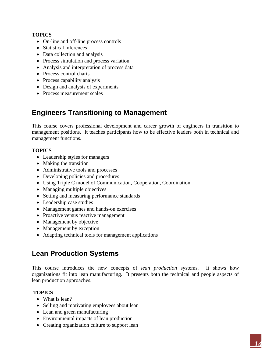#### **TOPICS**

- On-line and off-line process controls
- Statistical inferences
- Data collection and analysis
- Process simulation and process variation
- Analysis and interpretation of process data
- Process control charts
- Process capability analysis
- Design and analysis of experiments
- Process measurement scales

### **Engineers Transitioning to Management**

This course covers professional development and career growth of engineers in transition to management positions. It teaches participants how to be effective leaders both in technical and management functions.

#### **TOPICS**

- Leadership styles for managers
- Making the transition
- Administrative tools and processes
- Developing policies and procedures
- Using Triple C model of Communication, Cooperation, Coordination
- Managing multiple objectives
- Setting and measuring performance standards
- Leadership case studies
- Management games and hands-on exercises
- Proactive versus reactive management
- Management by objective
- Management by exception
- Adapting technical tools for management applications

### **Lean Production Systems**

This course introduces the new concepts of *lean production* systems. It shows how organizations fit into lean manufacturing. It presents both the technical and people aspects of lean production approaches.

- What is lean?
- Selling and motivating employees about lean
- Lean and green manufacturing
- Environmental impacts of lean production
- Creating organization culture to support lean